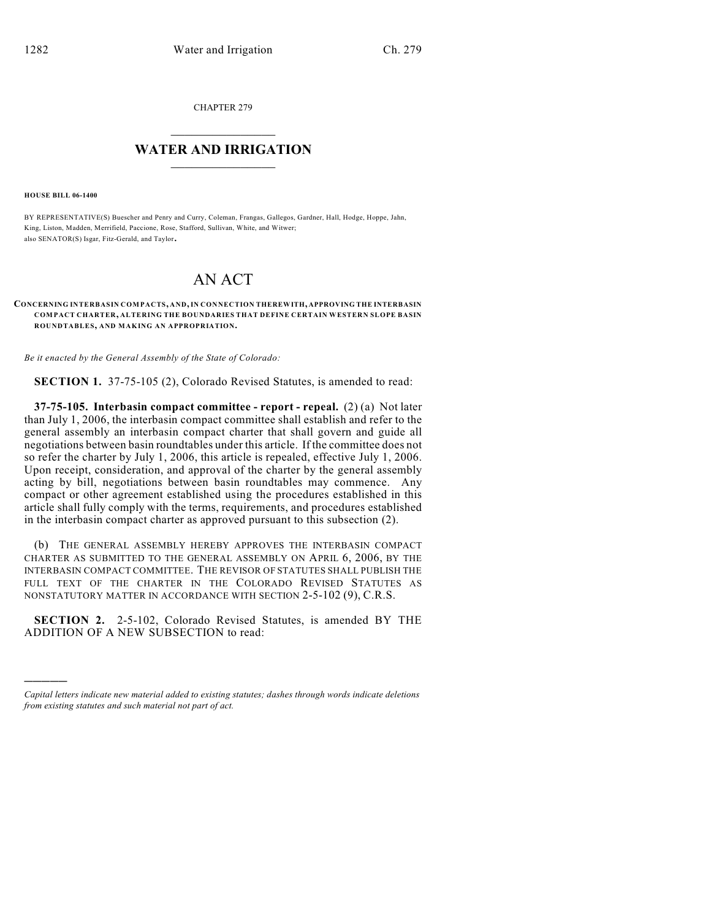CHAPTER 279

## $\overline{\phantom{a}}$  . The set of the set of the set of the set of the set of the set of the set of the set of the set of the set of the set of the set of the set of the set of the set of the set of the set of the set of the set o **WATER AND IRRIGATION**  $\_$   $\_$

**HOUSE BILL 06-1400**

)))))

BY REPRESENTATIVE(S) Buescher and Penry and Curry, Coleman, Frangas, Gallegos, Gardner, Hall, Hodge, Hoppe, Jahn, King, Liston, Madden, Merrifield, Paccione, Rose, Stafford, Sullivan, White, and Witwer; also SENATOR(S) Isgar, Fitz-Gerald, and Taylor.

## AN ACT

## **CONCERNING INTERBASIN COMPACTS, AND, IN CONNECTION THEREWITH, APPROVING THE INTERBASIN COMPACT CHARTER, ALTERING THE BOUNDARIES THAT DEFINE CERTAIN WESTERN SLOPE BASIN ROUNDTABLES, AND MAKING AN APPROPRIATION.**

*Be it enacted by the General Assembly of the State of Colorado:*

**SECTION 1.** 37-75-105 (2), Colorado Revised Statutes, is amended to read:

**37-75-105. Interbasin compact committee - report - repeal.** (2) (a) Not later than July 1, 2006, the interbasin compact committee shall establish and refer to the general assembly an interbasin compact charter that shall govern and guide all negotiations between basin roundtables under this article. If the committee does not so refer the charter by July 1, 2006, this article is repealed, effective July 1, 2006. Upon receipt, consideration, and approval of the charter by the general assembly acting by bill, negotiations between basin roundtables may commence. Any compact or other agreement established using the procedures established in this article shall fully comply with the terms, requirements, and procedures established in the interbasin compact charter as approved pursuant to this subsection (2).

(b) THE GENERAL ASSEMBLY HEREBY APPROVES THE INTERBASIN COMPACT CHARTER AS SUBMITTED TO THE GENERAL ASSEMBLY ON APRIL 6, 2006, BY THE INTERBASIN COMPACT COMMITTEE. THE REVISOR OF STATUTES SHALL PUBLISH THE FULL TEXT OF THE CHARTER IN THE COLORADO REVISED STATUTES AS NONSTATUTORY MATTER IN ACCORDANCE WITH SECTION 2-5-102 (9), C.R.S.

**SECTION 2.** 2-5-102, Colorado Revised Statutes, is amended BY THE ADDITION OF A NEW SUBSECTION to read:

*Capital letters indicate new material added to existing statutes; dashes through words indicate deletions from existing statutes and such material not part of act.*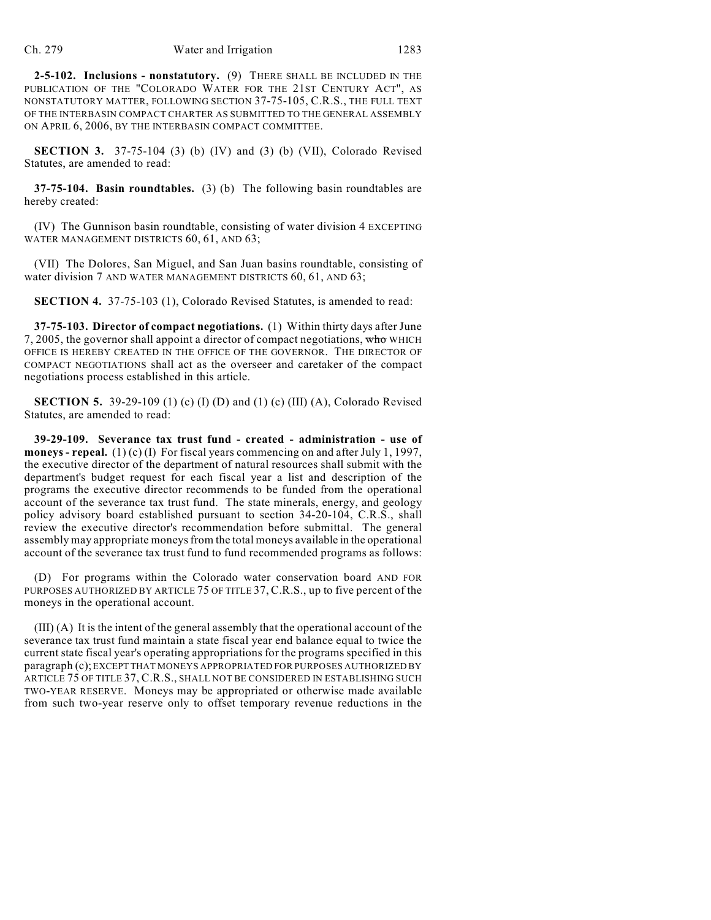**2-5-102. Inclusions - nonstatutory.** (9) THERE SHALL BE INCLUDED IN THE PUBLICATION OF THE "COLORADO WATER FOR THE 21ST CENTURY ACT", AS NONSTATUTORY MATTER, FOLLOWING SECTION 37-75-105, C.R.S., THE FULL TEXT OF THE INTERBASIN COMPACT CHARTER AS SUBMITTED TO THE GENERAL ASSEMBLY ON APRIL 6, 2006, BY THE INTERBASIN COMPACT COMMITTEE.

**SECTION 3.** 37-75-104 (3) (b) (IV) and (3) (b) (VII), Colorado Revised Statutes, are amended to read:

**37-75-104. Basin roundtables.** (3) (b) The following basin roundtables are hereby created:

(IV) The Gunnison basin roundtable, consisting of water division 4 EXCEPTING WATER MANAGEMENT DISTRICTS 60, 61, AND 63;

(VII) The Dolores, San Miguel, and San Juan basins roundtable, consisting of water division 7 AND WATER MANAGEMENT DISTRICTS 60, 61, AND 63;

**SECTION 4.** 37-75-103 (1), Colorado Revised Statutes, is amended to read:

**37-75-103. Director of compact negotiations.** (1) Within thirty days after June 7, 2005, the governor shall appoint a director of compact negotiations, who WHICH OFFICE IS HEREBY CREATED IN THE OFFICE OF THE GOVERNOR. THE DIRECTOR OF COMPACT NEGOTIATIONS shall act as the overseer and caretaker of the compact negotiations process established in this article.

**SECTION 5.** 39-29-109 (1) (c) (I) (D) and (1) (c) (III) (A), Colorado Revised Statutes, are amended to read:

**39-29-109. Severance tax trust fund - created - administration - use of moneys - repeal.** (1) (c) (I) For fiscal years commencing on and after July 1, 1997, the executive director of the department of natural resources shall submit with the department's budget request for each fiscal year a list and description of the programs the executive director recommends to be funded from the operational account of the severance tax trust fund. The state minerals, energy, and geology policy advisory board established pursuant to section 34-20-104, C.R.S., shall review the executive director's recommendation before submittal. The general assembly may appropriate moneys from the total moneys available in the operational account of the severance tax trust fund to fund recommended programs as follows:

(D) For programs within the Colorado water conservation board AND FOR PURPOSES AUTHORIZED BY ARTICLE 75 OF TITLE 37, C.R.S., up to five percent of the moneys in the operational account.

(III) (A) It is the intent of the general assembly that the operational account of the severance tax trust fund maintain a state fiscal year end balance equal to twice the current state fiscal year's operating appropriations for the programs specified in this paragraph (c); EXCEPT THAT MONEYS APPROPRIATED FOR PURPOSES AUTHORIZED BY ARTICLE 75 OF TITLE 37, C.R.S., SHALL NOT BE CONSIDERED IN ESTABLISHING SUCH TWO-YEAR RESERVE. Moneys may be appropriated or otherwise made available from such two-year reserve only to offset temporary revenue reductions in the